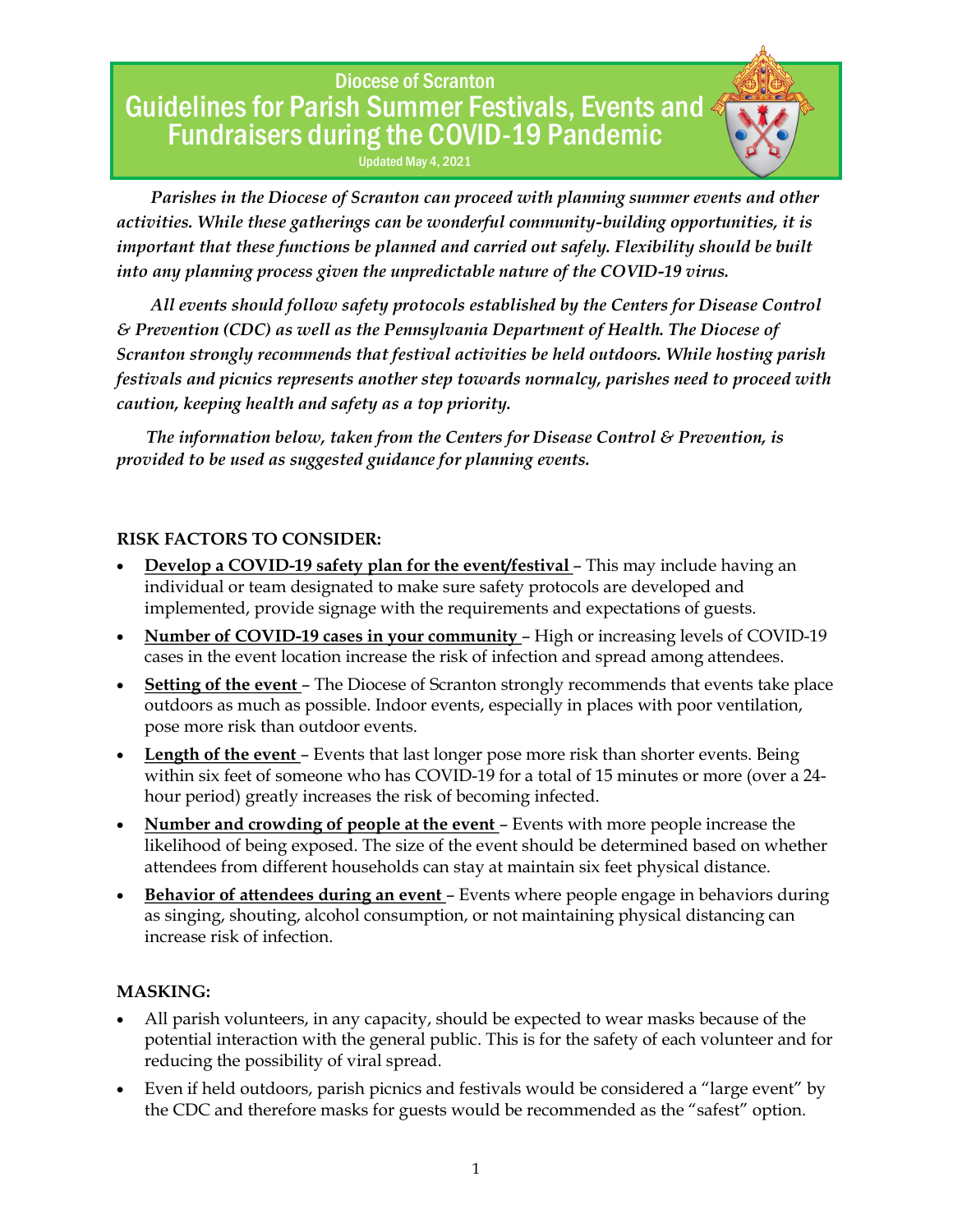Updated May 4, 2021

 *Parishes in the Diocese of Scranton can proceed with planning summer events and other activities. While these gatherings can be wonderful community-building opportunities, it is important that these functions be planned and carried out safely. Flexibility should be built into any planning process given the unpredictable nature of the COVID-19 virus.*

 *All events should follow safety protocols established by the Centers for Disease Control & Prevention (CDC) as well as the Pennsylvania Department of Health. The Diocese of Scranton strongly recommends that festival activities be held outdoors. While hosting parish festivals and picnics represents another step towards normalcy, parishes need to proceed with caution, keeping health and safety as a top priority.*

 *The information below, taken from the Centers for Disease Control & Prevention, is provided to be used as suggested guidance for planning events.*

### **RISK FACTORS TO CONSIDER:**

- **Develop a COVID-19 safety plan for the event/festival** This may include having an individual or team designated to make sure safety protocols are developed and implemented, provide signage with the requirements and expectations of guests.
- **Number of COVID-19 cases in your community**  High or increasing levels of COVID-19 cases in the event location increase the risk of infection and spread among attendees.
- **Setting of the event** The Diocese of Scranton strongly recommends that events take place outdoors as much as possible. Indoor events, especially in places with poor ventilation, pose more risk than outdoor events.
- **Length of the event** Events that last longer pose more risk than shorter events. Being within six feet of someone who has COVID-19 for a total of 15 minutes or more (over a 24 hour period) greatly increases the risk of becoming infected.
- **Number and crowding of people at the event** Events with more people increase the likelihood of being exposed. The size of the event should be determined based on whether attendees from different households can stay at maintain six feet physical distance.
- **Behavior of attendees during an event** Events where people engage in behaviors during as singing, shouting, alcohol consumption, or not maintaining physical distancing can increase risk of infection.

### **MASKING:**

- All parish volunteers, in any capacity, should be expected to wear masks because of the potential interaction with the general public. This is for the safety of each volunteer and for reducing the possibility of viral spread.
- Even if held outdoors, parish picnics and festivals would be considered a "large event" by the CDC and therefore masks for guests would be recommended as the "safest" option.